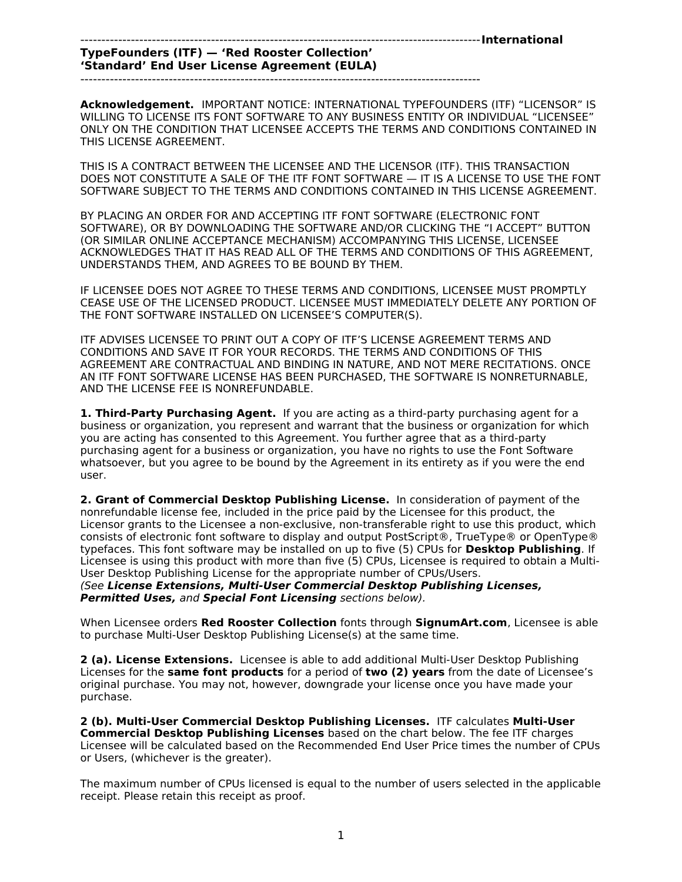-----------------------------------------------------------------------------------------------**International TypeFounders (ITF) — 'Red Rooster Collection'**

## **'Standard' End User License Agreement (EULA)**

-----------------------------------------------------------------------------------------------

**Acknowledgement.** IMPORTANT NOTICE: INTERNATIONAL TYPEFOUNDERS (ITF) "LICENSOR" IS WILLING TO LICENSE ITS FONT SOFTWARE TO ANY BUSINESS ENTITY OR INDIVIDUAL "LICENSEE" ONLY ON THE CONDITION THAT LICENSEE ACCEPTS THE TERMS AND CONDITIONS CONTAINED IN THIS LICENSE AGREEMENT.

THIS IS A CONTRACT BETWEEN THE LICENSEE AND THE LICENSOR (ITF). THIS TRANSACTION DOES NOT CONSTITUTE A SALE OF THE ITF FONT SOFTWARE — IT IS A LICENSE TO USE THE FONT SOFTWARE SUBJECT TO THE TERMS AND CONDITIONS CONTAINED IN THIS LICENSE AGREEMENT.

BY PLACING AN ORDER FOR AND ACCEPTING ITF FONT SOFTWARE (ELECTRONIC FONT SOFTWARE), OR BY DOWNLOADING THE SOFTWARE AND/OR CLICKING THE "I ACCEPT" BUTTON (OR SIMILAR ONLINE ACCEPTANCE MECHANISM) ACCOMPANYING THIS LICENSE, LICENSEE ACKNOWLEDGES THAT IT HAS READ ALL OF THE TERMS AND CONDITIONS OF THIS AGREEMENT, UNDERSTANDS THEM, AND AGREES TO BE BOUND BY THEM.

IF LICENSEE DOES NOT AGREE TO THESE TERMS AND CONDITIONS, LICENSEE MUST PROMPTLY CEASE USE OF THE LICENSED PRODUCT. LICENSEE MUST IMMEDIATELY DELETE ANY PORTION OF THE FONT SOFTWARE INSTALLED ON LICENSEE'S COMPUTER(S).

ITF ADVISES LICENSEE TO PRINT OUT A COPY OF ITF'S LICENSE AGREEMENT TERMS AND CONDITIONS AND SAVE IT FOR YOUR RECORDS. THE TERMS AND CONDITIONS OF THIS AGREEMENT ARE CONTRACTUAL AND BINDING IN NATURE, AND NOT MERE RECITATIONS. ONCE AN ITF FONT SOFTWARE LICENSE HAS BEEN PURCHASED, THE SOFTWARE IS NONRETURNABLE, AND THE LICENSE FEE IS NONREFUNDABLE.

**1. Third-Party Purchasing Agent.** If you are acting as a third-party purchasing agent for a business or organization, you represent and warrant that the business or organization for which you are acting has consented to this Agreement. You further agree that as a third-party purchasing agent for a business or organization, you have no rights to use the Font Software whatsoever, but you agree to be bound by the Agreement in its entirety as if you were the end user.

**2. Grant of Commercial Desktop Publishing License.** In consideration of payment of the nonrefundable license fee, included in the price paid by the Licensee for this product, the Licensor grants to the Licensee a non-exclusive, non-transferable right to use this product, which consists of electronic font software to display and output PostScript®, TrueType® or OpenType® typefaces. This font software may be installed on up to five (5) CPUs for **Desktop Publishing**. If Licensee is using this product with more than five (5) CPUs, Licensee is required to obtain a Multi-User Desktop Publishing License for the appropriate number of CPUs/Users.

(See **License Extensions, Multi-User Commercial Desktop Publishing Licenses, Permitted Uses,** and **Special Font Licensing** sections below).

When Licensee orders **Red Rooster Collection** fonts through **SignumArt.com**, Licensee is able to purchase Multi-User Desktop Publishing License(s) at the same time.

**2 (a). License Extensions.** Licensee is able to add additional Multi-User Desktop Publishing Licenses for the **same font products** for a period of **two (2) years** from the date of Licensee's original purchase. You may not, however, downgrade your license once you have made your purchase.

**2 (b). Multi-User Commercial Desktop Publishing Licenses.** ITF calculates **Multi-User Commercial Desktop Publishing Licenses** based on the chart below. The fee ITF charges Licensee will be calculated based on the Recommended End User Price times the number of CPUs or Users, (whichever is the greater).

The maximum number of CPUs licensed is equal to the number of users selected in the applicable receipt. Please retain this receipt as proof.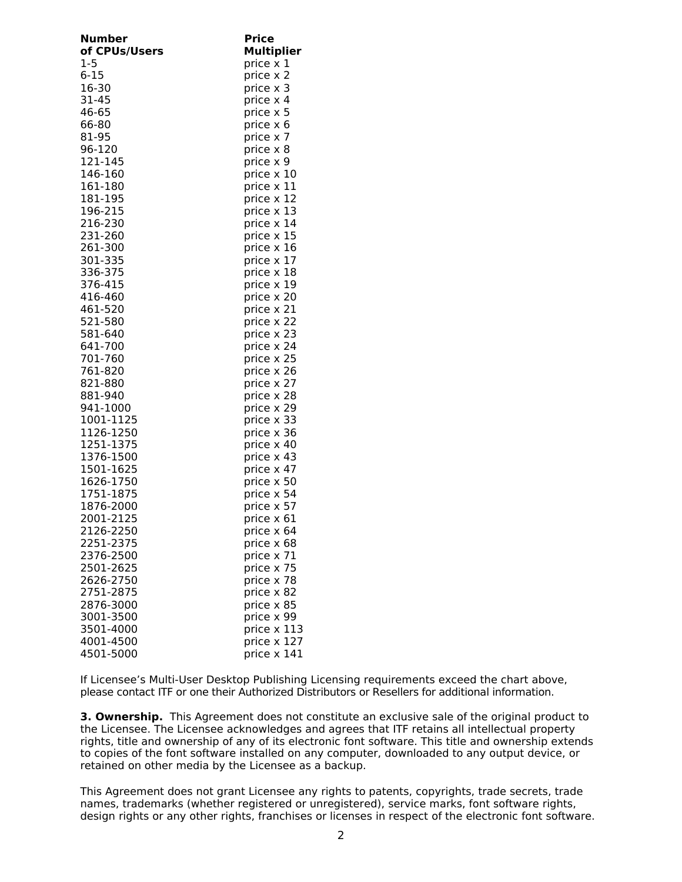| Number        | <b>Price</b>      |
|---------------|-------------------|
| of CPUs/Users | <b>Multiplier</b> |
| 1-5           | price $\times$ 1  |
| $6 - 15$      | price x 2         |
|               |                   |
| 16-30         | price x 3         |
| 31-45         | price x 4         |
| 46-65         | price x 5         |
| 66-80         | price x 6         |
| 81-95         | price x 7         |
| 96-120        | price x 8         |
|               |                   |
| 121-145       | price x 9         |
| 146-160       | price x 10        |
| 161-180       | price x 11        |
| 181-195       | price x 12        |
| 196-215       | price x 13        |
| 216-230       | price x 14        |
|               |                   |
| 231-260       | price x 15        |
| 261-300       | price x 16        |
| 301-335       | price x 17        |
| 336-375       | price x 18        |
| 376-415       | price x 19        |
| 416-460       | price x 20        |
| 461-520       | price x 21        |
|               |                   |
| 521-580       | price x 22        |
| 581-640       | price x 23        |
| 641-700       | price x 24        |
| 701-760       | price x 25        |
| 761-820       | price x 26        |
| 821-880       | price x 27        |
| 881-940       | price x 28        |
| 941-1000      | price x 29        |
|               |                   |
| 1001-1125     | price x 33        |
| 1126-1250     | price x 36        |
| 1251-1375     | price x 40        |
| 1376-1500     | price x 43        |
| 1501-1625     | price x 47        |
| 1626-1750     | price x 50        |
| 1751-1875     | price x 54        |
| 1876-2000     | price x 57        |
|               |                   |
| 2001-2125     | price x 61        |
| 2126-2250     | price x 64        |
| 2251-2375     | price x 68        |
| 2376-2500     | price x 71        |
| 2501-2625     | price x 75        |
| 2626-2750     | price x 78        |
| 2751-2875     | price x 82        |
|               |                   |
| 2876-3000     | price x 85        |
| 3001-3500     | price x 99        |
| 3501-4000     | price x 113       |
| 4001-4500     | price x 127       |
| 4501-5000     | price x 141       |

If Licensee's Multi-User Desktop Publishing Licensing requirements exceed the chart above, please contact ITF or one their Authorized Distributors or Resellers for additional information.

**3. Ownership.** This Agreement does not constitute an exclusive sale of the original product to the Licensee. The Licensee acknowledges and agrees that ITF retains all intellectual property rights, title and ownership of any of its electronic font software. This title and ownership extends to copies of the font software installed on any computer, downloaded to any output device, or retained on other media by the Licensee as a backup.

This Agreement does not grant Licensee any rights to patents, copyrights, trade secrets, trade names, trademarks (whether registered or unregistered), service marks, font software rights, design rights or any other rights, franchises or licenses in respect of the electronic font software.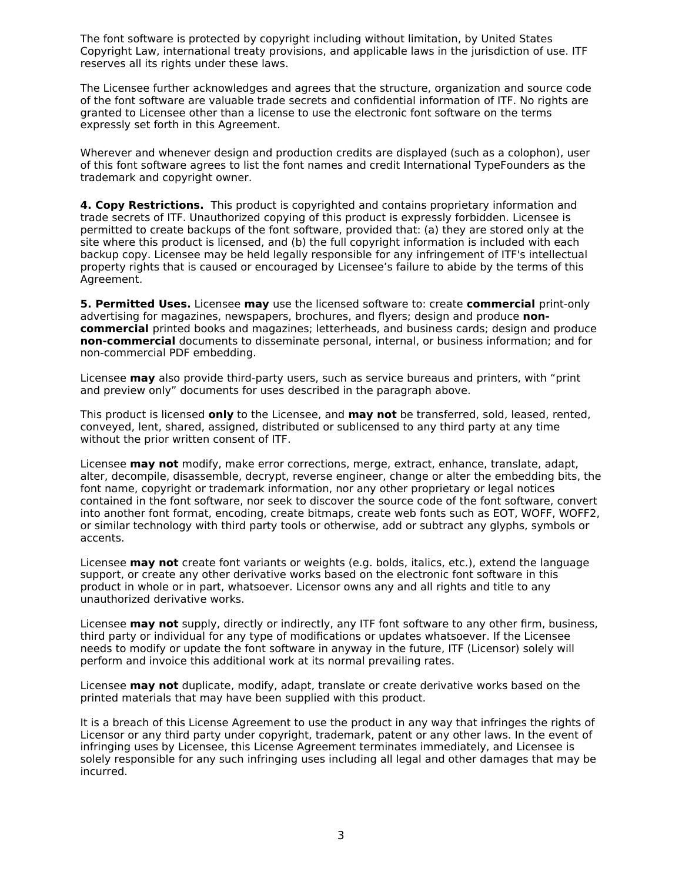The font software is protected by copyright including without limitation, by United States Copyright Law, international treaty provisions, and applicable laws in the jurisdiction of use. ITF reserves all its rights under these laws.

The Licensee further acknowledges and agrees that the structure, organization and source code of the font software are valuable trade secrets and confidential information of ITF. No rights are granted to Licensee other than a license to use the electronic font software on the terms expressly set forth in this Agreement.

Wherever and whenever design and production credits are displayed (such as a colophon), user of this font software agrees to list the font names and credit International TypeFounders as the trademark and copyright owner.

**4. Copy Restrictions.** This product is copyrighted and contains proprietary information and trade secrets of ITF. Unauthorized copying of this product is expressly forbidden. Licensee is permitted to create backups of the font software, provided that: (a) they are stored only at the site where this product is licensed, and (b) the full copyright information is included with each backup copy. Licensee may be held legally responsible for any infringement of ITF's intellectual property rights that is caused or encouraged by Licensee's failure to abide by the terms of this Agreement.

**5. Permitted Uses.** Licensee **may** use the licensed software to: create **commercial** print-only advertising for magazines, newspapers, brochures, and flyers; design and produce **noncommercial** printed books and magazines; letterheads, and business cards; design and produce **non-commercial** documents to disseminate personal, internal, or business information; and for non-commercial PDF embedding.

Licensee **may** also provide third-party users, such as service bureaus and printers, with "print and preview only" documents for uses described in the paragraph above.

This product is licensed **only** to the Licensee, and **may not** be transferred, sold, leased, rented, conveyed, lent, shared, assigned, distributed or sublicensed to any third party at any time without the prior written consent of ITF.

Licensee **may not** modify, make error corrections, merge, extract, enhance, translate, adapt, alter, decompile, disassemble, decrypt, reverse engineer, change or alter the embedding bits, the font name, copyright or trademark information, nor any other proprietary or legal notices contained in the font software, nor seek to discover the source code of the font software, convert into another font format, encoding, create bitmaps, create web fonts such as EOT, WOFF, WOFF2, or similar technology with third party tools or otherwise, add or subtract any glyphs, symbols or accents.

Licensee **may not** create font variants or weights (e.g. bolds, italics, etc.), extend the language support, or create any other derivative works based on the electronic font software in this product in whole or in part, whatsoever. Licensor owns any and all rights and title to any unauthorized derivative works.

Licensee **may not** supply, directly or indirectly, any ITF font software to any other firm, business, third party or individual for any type of modifications or updates whatsoever. If the Licensee needs to modify or update the font software in anyway in the future, ITF (Licensor) solely will perform and invoice this additional work at its normal prevailing rates.

Licensee **may not** duplicate, modify, adapt, translate or create derivative works based on the printed materials that may have been supplied with this product.

It is a breach of this License Agreement to use the product in any way that infringes the rights of Licensor or any third party under copyright, trademark, patent or any other laws. In the event of infringing uses by Licensee, this License Agreement terminates immediately, and Licensee is solely responsible for any such infringing uses including all legal and other damages that may be incurred.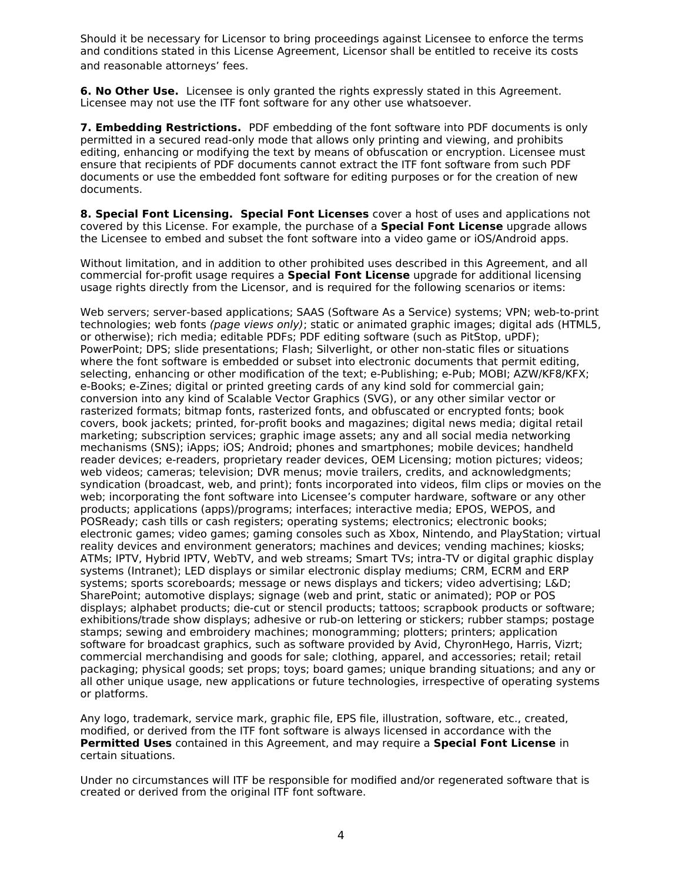Should it be necessary for Licensor to bring proceedings against Licensee to enforce the terms and conditions stated in this License Agreement, Licensor shall be entitled to receive its costs and reasonable attorneys' fees.

**6. No Other Use.** Licensee is only granted the rights expressly stated in this Agreement. Licensee may not use the ITF font software for any other use whatsoever.

**7. Embedding Restrictions.** PDF embedding of the font software into PDF documents is only permitted in a secured read-only mode that allows only printing and viewing, and prohibits editing, enhancing or modifying the text by means of obfuscation or encryption. Licensee must ensure that recipients of PDF documents cannot extract the ITF font software from such PDF documents or use the embedded font software for editing purposes or for the creation of new documents.

**8. Special Font Licensing. Special Font Licenses** cover a host of uses and applications not covered by this License. For example, the purchase of a **Special Font License** upgrade allows the Licensee to embed and subset the font software into a video game or iOS/Android apps.

Without limitation, and in addition to other prohibited uses described in this Agreement, and all commercial for-profit usage requires a **Special Font License** upgrade for additional licensing usage rights directly from the Licensor, and is required for the following scenarios or items:

Web servers; server-based applications; SAAS (Software As a Service) systems; VPN; web-to-print technologies; web fonts (page views only); static or animated graphic images; digital ads (HTML5, or otherwise); rich media; editable PDFs; PDF editing software (such as PitStop, uPDF); PowerPoint; DPS; slide presentations; Flash; Silverlight, or other non-static files or situations where the font software is embedded or subset into electronic documents that permit editing, selecting, enhancing or other modification of the text; e-Publishing; e-Pub; MOBI; AZW/KF8/KFX; e-Books; e-Zines; digital or printed greeting cards of any kind sold for commercial gain; conversion into any kind of Scalable Vector Graphics (SVG), or any other similar vector or rasterized formats; bitmap fonts, rasterized fonts, and obfuscated or encrypted fonts; book covers, book jackets; printed, for-profit books and magazines; digital news media; digital retail marketing; subscription services; graphic image assets; any and all social media networking mechanisms (SNS); iApps; iOS; Android; phones and smartphones; mobile devices; handheld reader devices; e-readers, proprietary reader devices, OEM Licensing; motion pictures; videos; web videos; cameras; television; DVR menus; movie trailers, credits, and acknowledgments; syndication (broadcast, web, and print); fonts incorporated into videos, film clips or movies on the web; incorporating the font software into Licensee's computer hardware, software or any other products; applications (apps)/programs; interfaces; interactive media; EPOS, WEPOS, and POSReady; cash tills or cash registers; operating systems; electronics; electronic books; electronic games; video games; gaming consoles such as Xbox, Nintendo, and PlayStation; virtual reality devices and environment generators; machines and devices; vending machines; kiosks; ATMs; IPTV, Hybrid IPTV, WebTV, and web streams; Smart TVs; intra-TV or digital graphic display systems (Intranet); LED displays or similar electronic display mediums; CRM, ECRM and ERP systems; sports scoreboards; message or news displays and tickers; video advertising; L&D; SharePoint; automotive displays; signage (web and print, static or animated); POP or POS displays; alphabet products; die-cut or stencil products; tattoos; scrapbook products or software; exhibitions/trade show displays; adhesive or rub-on lettering or stickers; rubber stamps; postage stamps; sewing and embroidery machines; monogramming; plotters; printers; application software for broadcast graphics, such as software provided by Avid, ChyronHego, Harris, Vizrt; commercial merchandising and goods for sale; clothing, apparel, and accessories; retail; retail packaging; physical goods; set props; toys; board games; unique branding situations; and any or all other unique usage, new applications or future technologies, irrespective of operating systems or platforms.

Any logo, trademark, service mark, graphic file, EPS file, illustration, software, etc., created, modified, or derived from the ITF font software is always licensed in accordance with the **Permitted Uses** contained in this Agreement, and may require a **Special Font License** in certain situations.

Under no circumstances will ITF be responsible for modified and/or regenerated software that is created or derived from the original ITF font software.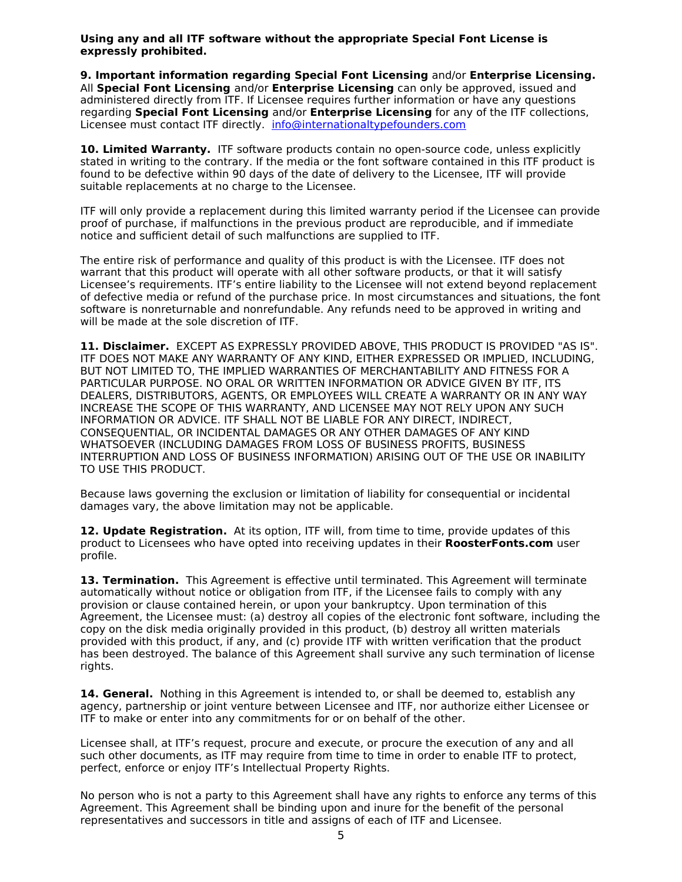**Using any and all ITF software without the appropriate Special Font License is expressly prohibited.** 

**9. Important information regarding Special Font Licensing** and/or **Enterprise Licensing.** All **Special Font Licensing** and/or **Enterprise Licensing** can only be approved, issued and administered directly from ITF. If Licensee requires further information or have any questions regarding **Special Font Licensing** and/or **Enterprise Licensing** for any of the ITF collections, Licensee must contact ITF directly. [info@internationaltypefounders.com](mailto:info@internationaltypefounders.com)

10. Limited Warranty. ITF software products contain no open-source code, unless explicitly stated in writing to the contrary. If the media or the font software contained in this ITF product is found to be defective within 90 days of the date of delivery to the Licensee, ITF will provide suitable replacements at no charge to the Licensee.

ITF will only provide a replacement during this limited warranty period if the Licensee can provide proof of purchase, if malfunctions in the previous product are reproducible, and if immediate notice and sufficient detail of such malfunctions are supplied to ITF.

The entire risk of performance and quality of this product is with the Licensee. ITF does not warrant that this product will operate with all other software products, or that it will satisfy Licensee's requirements. ITF's entire liability to the Licensee will not extend beyond replacement of defective media or refund of the purchase price. In most circumstances and situations, the font software is nonreturnable and nonrefundable. Any refunds need to be approved in writing and will be made at the sole discretion of ITF.

11. Disclaimer. EXCEPT AS EXPRESSLY PROVIDED ABOVE, THIS PRODUCT IS PROVIDED "AS IS". ITF DOES NOT MAKE ANY WARRANTY OF ANY KIND, EITHER EXPRESSED OR IMPLIED, INCLUDING, BUT NOT LIMITED TO, THE IMPLIED WARRANTIES OF MERCHANTABILITY AND FITNESS FOR A PARTICULAR PURPOSE. NO ORAL OR WRITTEN INFORMATION OR ADVICE GIVEN BY ITF, ITS DEALERS, DISTRIBUTORS, AGENTS, OR EMPLOYEES WILL CREATE A WARRANTY OR IN ANY WAY INCREASE THE SCOPE OF THIS WARRANTY, AND LICENSEE MAY NOT RELY UPON ANY SUCH INFORMATION OR ADVICE. ITF SHALL NOT BE LIABLE FOR ANY DIRECT, INDIRECT, CONSEQUENTIAL, OR INCIDENTAL DAMAGES OR ANY OTHER DAMAGES OF ANY KIND WHATSOEVER (INCLUDING DAMAGES FROM LOSS OF BUSINESS PROFITS, BUSINESS INTERRUPTION AND LOSS OF BUSINESS INFORMATION) ARISING OUT OF THE USE OR INABILITY TO USE THIS PRODUCT.

Because laws governing the exclusion or limitation of liability for consequential or incidental damages vary, the above limitation may not be applicable.

**12. Update Registration.** At its option, ITF will, from time to time, provide updates of this product to Licensees who have opted into receiving updates in their **RoosterFonts.com** user profile.

13. Termination. This Agreement is effective until terminated. This Agreement will terminate automatically without notice or obligation from ITF, if the Licensee fails to comply with any provision or clause contained herein, or upon your bankruptcy. Upon termination of this Agreement, the Licensee must: (a) destroy all copies of the electronic font software, including the copy on the disk media originally provided in this product, (b) destroy all written materials provided with this product, if any, and (c) provide ITF with written verification that the product has been destroyed. The balance of this Agreement shall survive any such termination of license rights.

**14. General.** Nothing in this Agreement is intended to, or shall be deemed to, establish any agency, partnership or joint venture between Licensee and ITF, nor authorize either Licensee or ITF to make or enter into any commitments for or on behalf of the other.

Licensee shall, at ITF's request, procure and execute, or procure the execution of any and all such other documents, as ITF may require from time to time in order to enable ITF to protect, perfect, enforce or enjoy ITF's Intellectual Property Rights.

No person who is not a party to this Agreement shall have any rights to enforce any terms of this Agreement. This Agreement shall be binding upon and inure for the benefit of the personal representatives and successors in title and assigns of each of ITF and Licensee.